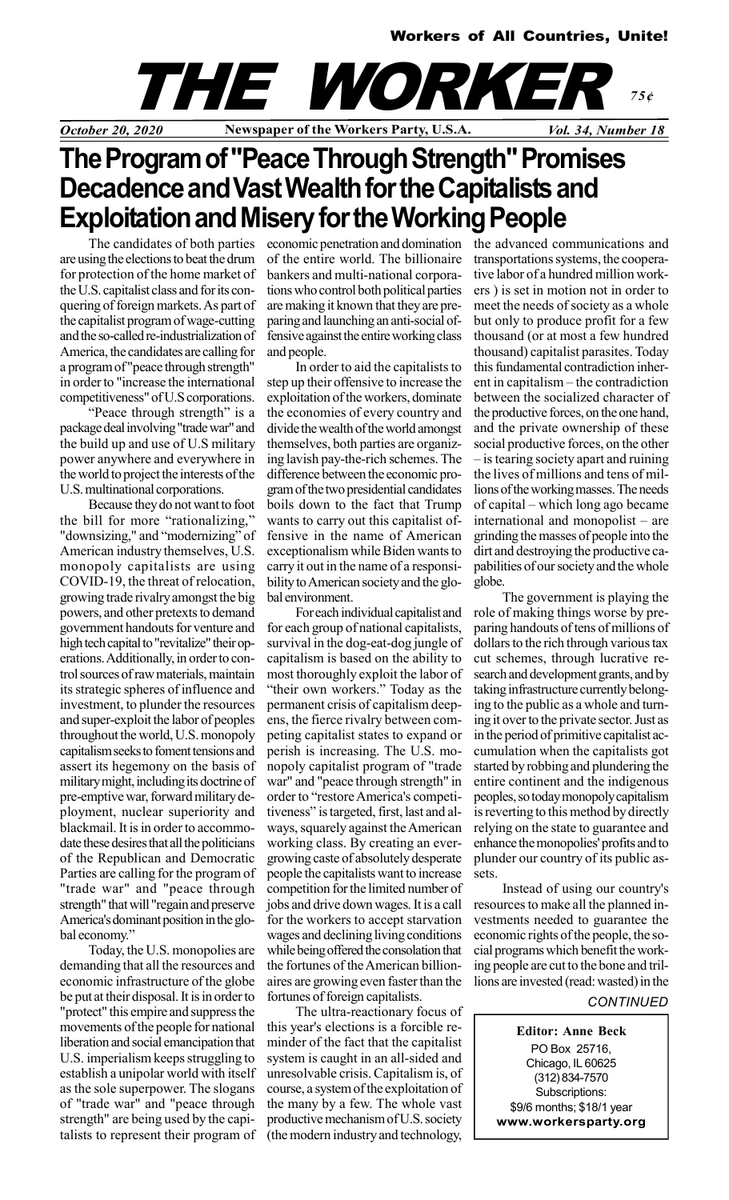

## The Program of "Peace Through Strength" Promises Decadence and Vast Wealth for the Capitalists and Exploitation and Misery for the Working People

The candidates of both parties are using the elections to beat the drum for protection of the home market of the U.S. capitalist class and for its conquering of foreign markets. As part of the capitalist program of wage-cutting and the so-called re-industrialization of America, the candidates are calling for a program of "peace through strength" in order to "increase the international competitiveness" of U.S corporations.

"Peace through strength" is a package deal involving "trade war" and the build up and use of U.S military power anywhere and everywhere in the world to project the interests of the U.S. multinational corporations.

Because they do not want to foot the bill for more "rationalizing," "downsizing," and "modernizing" of American industry themselves, U.S. monopoly capitalists are using COVID-19, the threat of relocation, growing trade rivalry amongst the big powers, and other pretexts to demand government handouts for venture and high tech capital to "revitalize" their operations. Additionally, in order to control sources of raw materials, maintain its strategic spheres of influence and investment, to plunder the resources and super-exploit the labor of peoples throughout the world, U.S. monopoly capitalism seeks to foment tensions and assert its hegemony on the basis of military might, including its doctrine of pre-emptive war, forward military deployment, nuclear superiority and blackmail. It is in order to accommodate these desires that all the politicians of the Republican and Democratic Parties are calling for the program of "trade war" and "peace through strength" that will "regain and preserve America's dominant position in the global economy."

Today, the U.S. monopolies are demanding that all the resources and economic infrastructure of the globe be put at their disposal. It is in order to "protect" this empire and suppress the movements of the people for national liberation and social emancipation that U.S. imperialism keeps struggling to establish a unipolar world with itself as the sole superpower. The slogans of "trade war" and "peace through strength" are being used by the capitalists to represent their program of of the entire world. The billionaire bankers and multi-national corporations who control both political parties are making it known that they are preparing and launching an anti-social offensive against the entire working class and people.

In order to aid the capitalists to step up their offensive to increase the exploitation of the workers, dominate the economies of every country and divide the wealth of the world amongst themselves, both parties are organizing lavish pay-the-rich schemes. The difference between the economic program of the two presidential candidates boils down to the fact that Trump wants to carry out this capitalist offensive in the name of American exceptionalism while Biden wants to carry it out in the name of a responsibility to American society and the global environment.

For each individual capitalist and for each group of national capitalists, survival in the dog-eat-dog jungle of capitalism is based on the ability to most thoroughly exploit the labor of "their own workers." Today as the permanent crisis of capitalism deepens, the fierce rivalry between competing capitalist states to expand or perish is increasing. The U.S. monopoly capitalist program of "trade war" and "peace through strength" in order to "restore America's competitiveness" is targeted, first, last and always, squarely against the American working class. By creating an evergrowing caste of absolutely desperate people the capitalists want to increase competition for the limited number of jobs and drive down wages. It is a call for the workers to accept starvation wages and declining living conditions while being offered the consolation that the fortunes of the American billionaires are growing even faster than the fortunes of foreign capitalists.

The ultra-reactionary focus of this year's elections is a forcible reminder of the fact that the capitalist system is caught in an all-sided and unresolvable crisis. Capitalism is, of course, a system of the exploitation of the many by a few. The whole vast productive mechanism of U.S. society (the modern industry and technology,

economic penetration and domination the advanced communications and transportations systems, the cooperative labor of a hundred million workers ) is set in motion not in order to meet the needs of society as a whole but only to produce profit for a few thousand (or at most a few hundred thousand) capitalist parasites. Today this fundamental contradiction inherent in capitalism – the contradiction between the socialized character of the productive forces, on the one hand, and the private ownership of these social productive forces, on the other – is tearing society apart and ruining the lives of millions and tens of millions of the working masses. The needs of capital – which long ago became international and monopolist – are grinding the masses of people into the dirt and destroying the productive capabilities of our society and the whole globe.

The government is playing the role of making things worse by preparing handouts of tens of millions of dollars to the rich through various tax cut schemes, through lucrative research and development grants, and by taking infrastructure currently belonging to the public as a whole and turning it over to the private sector. Just as in the period of primitive capitalist accumulation when the capitalists got started by robbing and plundering the entire continent and the indigenous peoples, so today monopoly capitalism is reverting to this method by directly relying on the state to guarantee and enhance the monopolies' profits and to plunder our country of its public assets.

Instead of using our country's resources to make all the planned investments needed to guarantee the economic rights of the people, the social programs which benefit the working people are cut to the bone and trillions are invested (read: wasted) in the

## **CONTINUED**

Editor: Anne Beck PO Box 25716, Chicago, IL 60625 (312) 834-7570 Subscriptions: \$9/6 months; \$18/1 year www.workersparty.org